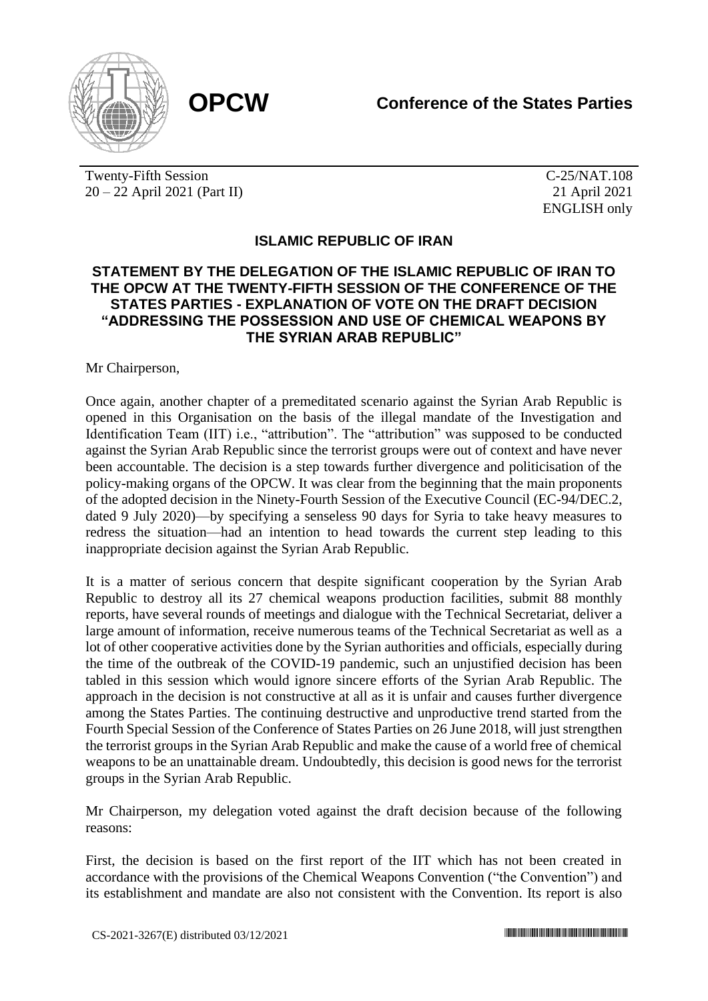

Twenty-Fifth Session 20 – 22 April 2021 (Part II)

C-25/NAT.108 21 April 2021 ENGLISH only

## **ISLAMIC REPUBLIC OF IRAN**

## **STATEMENT BY THE DELEGATION OF THE ISLAMIC REPUBLIC OF IRAN TO THE OPCW AT THE TWENTY-FIFTH SESSION OF THE CONFERENCE OF THE STATES PARTIES - EXPLANATION OF VOTE ON THE DRAFT DECISION "ADDRESSING THE POSSESSION AND USE OF CHEMICAL WEAPONS BY THE SYRIAN ARAB REPUBLIC"**

## Mr Chairperson,

Once again, another chapter of a premeditated scenario against the Syrian Arab Republic is opened in this Organisation on the basis of the illegal mandate of the Investigation and Identification Team (IIT) i.e., "attribution". The "attribution" was supposed to be conducted against the Syrian Arab Republic since the terrorist groups were out of context and have never been accountable. The decision is a step towards further divergence and politicisation of the policy-making organs of the OPCW. It was clear from the beginning that the main proponents of the adopted decision in the Ninety-Fourth Session of the Executive Council (EC-94/DEC.2, dated 9 July 2020)—by specifying a senseless 90 days for Syria to take heavy measures to redress the situation—had an intention to head towards the current step leading to this inappropriate decision against the Syrian Arab Republic.

It is a matter of serious concern that despite significant cooperation by the Syrian Arab Republic to destroy all its 27 chemical weapons production facilities, submit 88 monthly reports, have several rounds of meetings and dialogue with the Technical Secretariat, deliver a large amount of information, receive numerous teams of the Technical Secretariat as well as a lot of other cooperative activities done by the Syrian authorities and officials, especially during the time of the outbreak of the COVID-19 pandemic, such an unjustified decision has been tabled in this session which would ignore sincere efforts of the Syrian Arab Republic. The approach in the decision is not constructive at all as it is unfair and causes further divergence among the States Parties. The continuing destructive and unproductive trend started from the Fourth Special Session of the Conference of States Parties on 26 June 2018, will just strengthen the terrorist groups in the Syrian Arab Republic and make the cause of a world free of chemical weapons to be an unattainable dream. Undoubtedly, this decision is good news for the terrorist groups in the Syrian Arab Republic.

Mr Chairperson, my delegation voted against the draft decision because of the following reasons:

First, the decision is based on the first report of the IIT which has not been created in accordance with the provisions of the Chemical Weapons Convention ("the Convention") and its establishment and mandate are also not consistent with the Convention. Its report is also